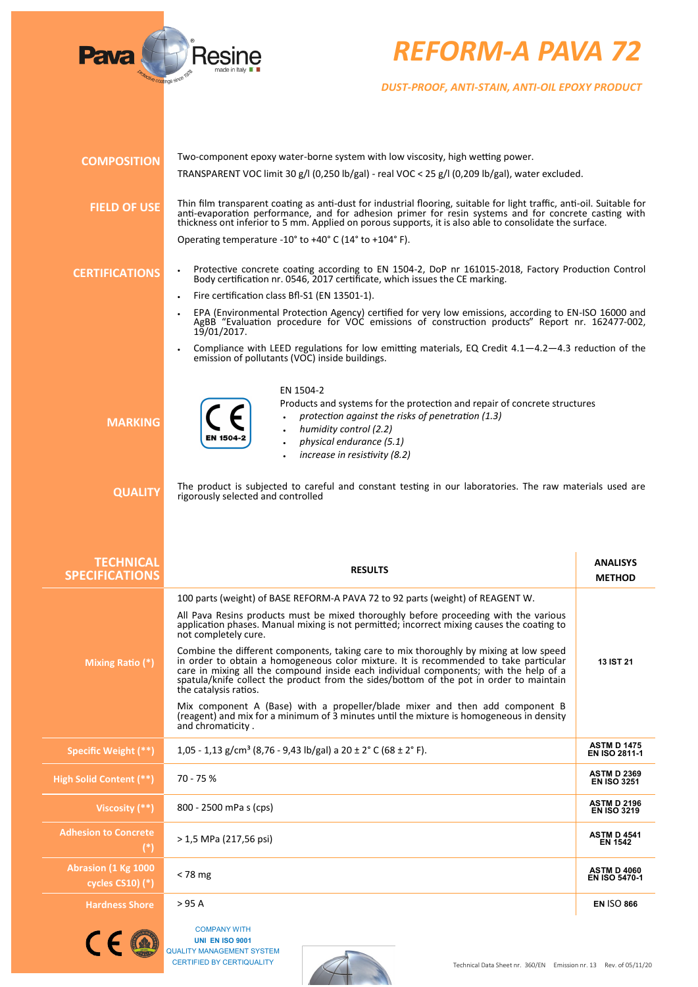

## *REFORM-A PAVA 72*

*DUST-PROOF, ANTI-STAIN, ANTI-OIL EPOXY PRODUCT*

| <b>COMPOSITION</b>                                  | Two-component epoxy water-borne system with low viscosity, high wetting power.                                                                                                                                                                                                                                                                                                              |                                            |
|-----------------------------------------------------|---------------------------------------------------------------------------------------------------------------------------------------------------------------------------------------------------------------------------------------------------------------------------------------------------------------------------------------------------------------------------------------------|--------------------------------------------|
|                                                     | TRANSPARENT VOC limit 30 g/l (0,250 lb/gal) - real VOC < 25 g/l (0,209 lb/gal), water excluded.                                                                                                                                                                                                                                                                                             |                                            |
| <b>FIELD OF USE</b>                                 | Thin film transparent coating as anti-dust for industrial flooring, suitable for light traffic, anti-oil. Suitable for<br>anti-evaporation performance, and for adhesion primer for resin systems and for concrete casting with<br>thickness ont inferior to 5 mm. Applied on porous supports, it is also able to consolidate the surface.                                                  |                                            |
|                                                     | Operating temperature -10 $^{\circ}$ to +40 $^{\circ}$ C (14 $^{\circ}$ to +104 $^{\circ}$ F).                                                                                                                                                                                                                                                                                              |                                            |
| <b>CERTIFICATIONS</b>                               | Protective concrete coating according to EN 1504-2, DoP nr 161015-2018, Factory Production Control<br>Body certification nr. 0546, 2017 certificate, which issues the CE marking.                                                                                                                                                                                                           |                                            |
|                                                     | Fire certification class Bfl-S1 (EN 13501-1).                                                                                                                                                                                                                                                                                                                                               |                                            |
|                                                     | EPA (Environmental Protection Agency) certified for very low emissions, according to EN-ISO 16000 and<br>AgBB "Evaluation procedure for VOC emissions of construction products" Report nr. 162477-002,<br>19/01/2017.                                                                                                                                                                       |                                            |
|                                                     | Compliance with LEED regulations for low emitting materials, EQ Credit $4.1-4.2-4.3$ reduction of the<br>emission of pollutants (VOC) inside buildings.                                                                                                                                                                                                                                     |                                            |
|                                                     | EN 1504-2                                                                                                                                                                                                                                                                                                                                                                                   |                                            |
| <b>MARKING</b>                                      | Products and systems for the protection and repair of concrete structures<br>protection against the risks of penetration (1.3)<br>humidity control (2.2)                                                                                                                                                                                                                                    |                                            |
|                                                     | physical endurance (5.1)                                                                                                                                                                                                                                                                                                                                                                    |                                            |
|                                                     | increase in resistivity (8.2)                                                                                                                                                                                                                                                                                                                                                               |                                            |
| <b>QUALITY</b>                                      | The product is subjected to careful and constant testing in our laboratories. The raw materials used are<br>rigorously selected and controlled                                                                                                                                                                                                                                              |                                            |
|                                                     |                                                                                                                                                                                                                                                                                                                                                                                             |                                            |
|                                                     |                                                                                                                                                                                                                                                                                                                                                                                             |                                            |
|                                                     |                                                                                                                                                                                                                                                                                                                                                                                             |                                            |
| <b>TECHNICAL</b>                                    |                                                                                                                                                                                                                                                                                                                                                                                             | <b>ANALISYS</b>                            |
| <b>SPECIFICATIONS</b>                               | <b>RESULTS</b>                                                                                                                                                                                                                                                                                                                                                                              | <b>METHOD</b>                              |
|                                                     | 100 parts (weight) of BASE REFORM-A PAVA 72 to 92 parts (weight) of REAGENT W.                                                                                                                                                                                                                                                                                                              |                                            |
|                                                     | All Pava Resins products must be mixed thoroughly before proceeding with the various<br>application phases. Manual mixing is not permitted; incorrect mixing causes the coating to<br>not completely cure.                                                                                                                                                                                  |                                            |
| Mixing Ratio (*)                                    | Combine the different components, taking care to mix thoroughly by mixing at low speed<br>in order to obtain a homogeneous color mixture. It is recommended to take particular<br>care in mixing all the compound inside each individual components; with the help of a<br>spatula/knife collect the product from the sides/bottom of the pot in order to maintain<br>the catalysis ratios. | <b>13 IST 21</b>                           |
|                                                     | Mix component A (Base) with a propeller/blade mixer and then add component B<br>(reagent) and mix for a minimum of 3 minutes until the mixture is homogeneous in density<br>and chromaticity.                                                                                                                                                                                               |                                            |
| Specific Weight (**)                                | 1,05 - 1,13 g/cm <sup>3</sup> (8,76 - 9,43 lb/gal) a 20 ± 2° C (68 ± 2° F).                                                                                                                                                                                                                                                                                                                 | <b>ASTM D 1475</b><br>EN ISO 2811-1        |
| High Solid Content (**)                             | 70 - 75 %                                                                                                                                                                                                                                                                                                                                                                                   | <b>ASTM D 2369</b><br><b>EN ISO 3251</b>   |
| Viscosity (**)                                      | 800 - 2500 mPa s (cps)                                                                                                                                                                                                                                                                                                                                                                      | <b>ASTM D 2196</b><br><b>EN ISO 3219</b>   |
| <b>Adhesion to Concrete</b><br>$(*)$                | > 1,5 MPa (217,56 psi)                                                                                                                                                                                                                                                                                                                                                                      | <b>ASTM D 4541</b><br><b>EN 1542</b>       |
| <b>Abrasion (1 Kg 1000</b><br>cycles $CS10$ ) $(*)$ | $< 78 \text{ mg}$                                                                                                                                                                                                                                                                                                                                                                           | <b>ASTM D 4060</b><br><b>EN ISO 5470-1</b> |
| <b>Hardness Shore</b>                               | > 95 A                                                                                                                                                                                                                                                                                                                                                                                      | <b>EN ISO 866</b>                          |
|                                                     |                                                                                                                                                                                                                                                                                                                                                                                             |                                            |
|                                                     | <b>COMPANY WITH</b><br><b>UNI EN ISO 9001</b><br><b>QUALITY MANAGEMENT SYSTEM</b>                                                                                                                                                                                                                                                                                                           |                                            |

CERTIFIED BY CERTIQUALITY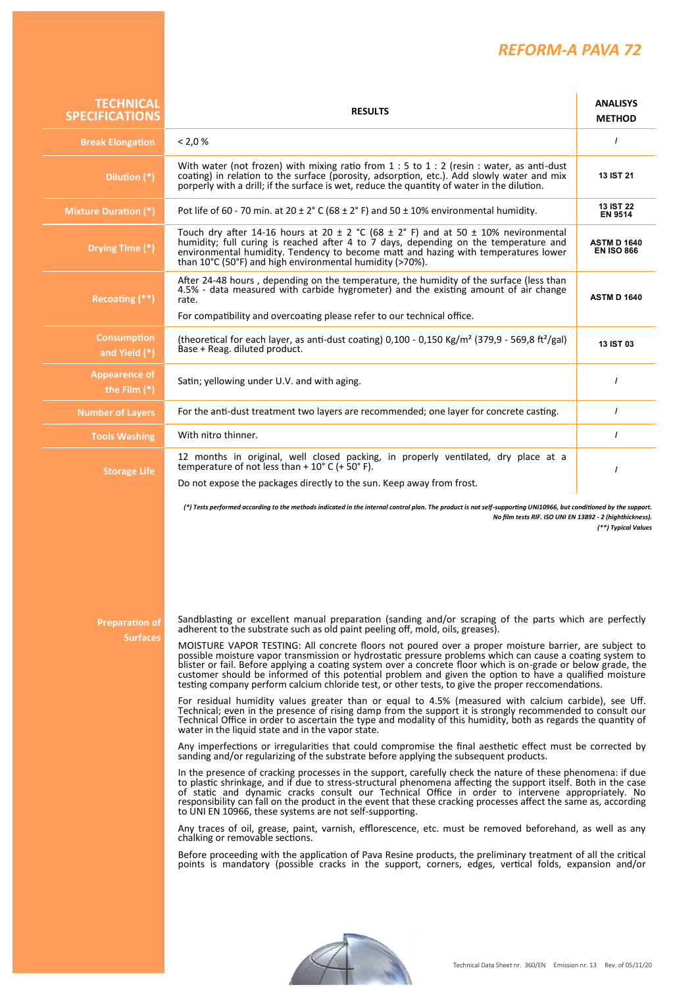## *REFORM-A PAVA 72*

| <b>TECHNICAL</b><br><b>SPECIFICATIONS</b> | <b>RESULTS</b>                                                                                                                                                                                                                                                                                                                                                                                                                                                                                                                                                                                                                                                                                                                                                                                                                                                                                                                                                                                                                                                                                                                                                                                                                                                                                                                                                                                                                                                                               | <b>ANALISYS</b><br><b>METHOD</b>        |
|-------------------------------------------|----------------------------------------------------------------------------------------------------------------------------------------------------------------------------------------------------------------------------------------------------------------------------------------------------------------------------------------------------------------------------------------------------------------------------------------------------------------------------------------------------------------------------------------------------------------------------------------------------------------------------------------------------------------------------------------------------------------------------------------------------------------------------------------------------------------------------------------------------------------------------------------------------------------------------------------------------------------------------------------------------------------------------------------------------------------------------------------------------------------------------------------------------------------------------------------------------------------------------------------------------------------------------------------------------------------------------------------------------------------------------------------------------------------------------------------------------------------------------------------------|-----------------------------------------|
| <b>Break Elongation</b>                   | < 2.0 %                                                                                                                                                                                                                                                                                                                                                                                                                                                                                                                                                                                                                                                                                                                                                                                                                                                                                                                                                                                                                                                                                                                                                                                                                                                                                                                                                                                                                                                                                      | $\prime$                                |
| Dilution (*)                              | With water (not frozen) with mixing ratio from $1:5$ to $1:2$ (resin : water, as anti-dust<br>coating) in relation to the surface (porosity, adsorption, etc.). Add slowly water and mix<br>porperly with a drill; if the surface is wet, reduce the quantity of water in the dilution.                                                                                                                                                                                                                                                                                                                                                                                                                                                                                                                                                                                                                                                                                                                                                                                                                                                                                                                                                                                                                                                                                                                                                                                                      | <b>13 IST 21</b>                        |
| <b>Mixture Duration (*)</b>               | Pot life of 60 - 70 min. at $20 \pm 2^{\circ}$ C (68 $\pm$ 2° F) and 50 $\pm$ 10% environmental humidity.                                                                                                                                                                                                                                                                                                                                                                                                                                                                                                                                                                                                                                                                                                                                                                                                                                                                                                                                                                                                                                                                                                                                                                                                                                                                                                                                                                                    | <b>13 IST 22</b><br><b>EN 9514</b>      |
| Drying Time (*)                           | Touch dry after 14-16 hours at 20 $\pm$ 2 °C (68 $\pm$ 2° F) and at 50 $\pm$ 10% nevironmental<br>humidity; full curing is reached after 4 to 7 days, depending on the temperature and<br>environmental humidity. Tendency to become matt and hazing with temperatures lower<br>than 10°C (50°F) and high environmental humidity (>70%).                                                                                                                                                                                                                                                                                                                                                                                                                                                                                                                                                                                                                                                                                                                                                                                                                                                                                                                                                                                                                                                                                                                                                     | <b>ASTM D 1640</b><br><b>EN ISO 866</b> |
| Recoating (**)                            | After 24-48 hours, depending on the temperature, the humidity of the surface (less than<br>4.5% - data measured with carbide hygrometer) and the existing amount of air change<br>rate.<br>For compatibility and overcoating please refer to our technical office.                                                                                                                                                                                                                                                                                                                                                                                                                                                                                                                                                                                                                                                                                                                                                                                                                                                                                                                                                                                                                                                                                                                                                                                                                           | <b>ASTM D 1640</b>                      |
| <b>Consumption</b><br>and Yield (*)       | (theoretical for each layer, as anti-dust coating) $0,100 - 0,150$ Kg/m <sup>2</sup> (379,9 - 569,8 ft <sup>2</sup> /gal)<br>Base + Reag. diluted product.                                                                                                                                                                                                                                                                                                                                                                                                                                                                                                                                                                                                                                                                                                                                                                                                                                                                                                                                                                                                                                                                                                                                                                                                                                                                                                                                   | <b>13 IST 03</b>                        |
| <b>Appearence of</b><br>the Film $(*)$    | Satin; yellowing under U.V. and with aging.                                                                                                                                                                                                                                                                                                                                                                                                                                                                                                                                                                                                                                                                                                                                                                                                                                                                                                                                                                                                                                                                                                                                                                                                                                                                                                                                                                                                                                                  | $\prime$                                |
| <b>Number of Layers</b>                   | For the anti-dust treatment two layers are recommended; one layer for concrete casting.                                                                                                                                                                                                                                                                                                                                                                                                                                                                                                                                                                                                                                                                                                                                                                                                                                                                                                                                                                                                                                                                                                                                                                                                                                                                                                                                                                                                      | $\prime$                                |
| <b>Tools Washing</b>                      | With nitro thinner.                                                                                                                                                                                                                                                                                                                                                                                                                                                                                                                                                                                                                                                                                                                                                                                                                                                                                                                                                                                                                                                                                                                                                                                                                                                                                                                                                                                                                                                                          | $\prime$                                |
| <b>Storage Life</b>                       | 12 months in original, well closed packing, in properly ventilated, dry place at a<br>temperature of not less than + $10^{\circ}$ C (+ $50^{\circ}$ F).<br>Do not expose the packages directly to the sun. Keep away from frost.                                                                                                                                                                                                                                                                                                                                                                                                                                                                                                                                                                                                                                                                                                                                                                                                                                                                                                                                                                                                                                                                                                                                                                                                                                                             | $\prime$                                |
| Preparation of<br><b>Surfaces</b>         | Sandblasting or excellent manual preparation (sanding and/or scraping of the parts which are perfectly<br>adherent to the substrate such as old paint peeling off, mold, oils, greases).<br>MOISTURE VAPOR TESTING: All concrete floors not poured over a proper moisture barrier, are subject to<br>possible moisture vapor transmission or hydrostatic pressure problems which can cause a coating system to<br>blister or fail. Before applying a coating system over a concrete floor which is on-grade or below grade, the<br>customer should be informed of this potential problem and given the option to have a qualified moisture<br>testing company perform calcium chloride test, or other tests, to give the proper reccomendations.                                                                                                                                                                                                                                                                                                                                                                                                                                                                                                                                                                                                                                                                                                                                             |                                         |
|                                           | For residual humidity values greater than or equal to 4.5% (measured with calcium carbide), see Uff.<br>Technical; even in the presence of rising damp from the support it is strongly recommended to consult our<br>Technical Office in order to ascertain the type and modality of this humidity, both as regards the quantity of<br>water in the liquid state and in the vapor state.<br>Any imperfections or irregularities that could compromise the final aesthetic effect must be corrected by<br>sanding and/or regularizing of the substrate before applying the subsequent products.<br>In the presence of cracking processes in the support, carefully check the nature of these phenomena: if due<br>to plastic shrinkage, and if due to stress-structural phenomena affecting the support itself. Both in the case<br>of static and dynamic cracks consult our Technical Office in order to intervene appropriately. No<br>responsibility can fall on the product in the event that these cracking processes affect the same as, according<br>to UNI EN 10966, these systems are not self-supporting.<br>Any traces of oil, grease, paint, varnish, efflorescence, etc. must be removed beforehand, as well as any<br>chalking or removable sections.<br>Before proceeding with the application of Pava Resine products, the preliminary treatment of all the critical<br>points is mandatory (possible cracks in the support, corners, edges, vertical folds, expansion and/or |                                         |
|                                           | Technical Data Sheet nr. 360/EN Emission nr. 13 Rev. of 05/11/20                                                                                                                                                                                                                                                                                                                                                                                                                                                                                                                                                                                                                                                                                                                                                                                                                                                                                                                                                                                                                                                                                                                                                                                                                                                                                                                                                                                                                             |                                         |

**THE SECTION**